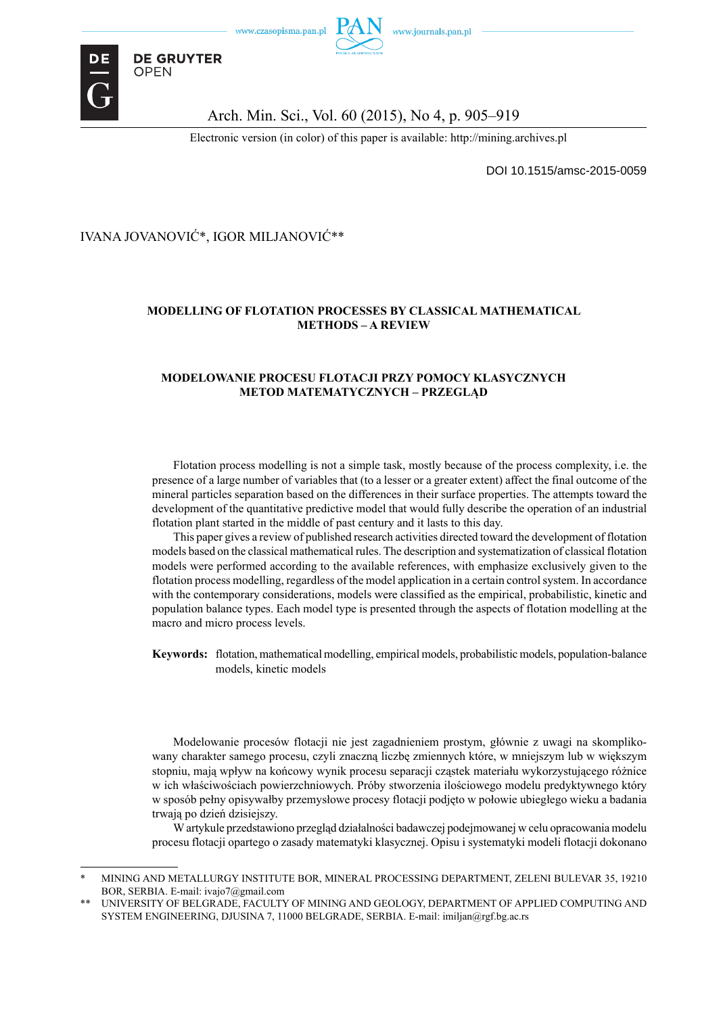

#### Arch. Min. Sci., Vol. 60 (2015), No 4, p. 905–919

Electronic version (in color) of this paper is available: http://mining.archives.pl

DOI 10.1515/amsc-2015-0059

IVANA JOVANOVIĆ\*, IGOR MILJANOVIĆ\*\*

**DE GRUYTER** 

**OPEN** 

#### **MODELLING OF FLOTATION PROCESSES BY CLASSICAL MATHEMATICAL METHODS – A REVIEW**

#### **MODELOWANIE PROCESU FLOTACJI PRZY POMOCY KLASYCZNYCH METOD MATEMATYCZNYCH – PRZEGLĄD**

Flotation process modelling is not a simple task, mostly because of the process complexity, i.e. the presence of a large number of variables that (to a lesser or a greater extent) affect the final outcome of the mineral particles separation based on the differences in their surface properties. The attempts toward the development of the quantitative predictive model that would fully describe the operation of an industrial flotation plant started in the middle of past century and it lasts to this day.

This paper gives a review of published research activities directed toward the development of flotation models based on the classical mathematical rules. The description and systematization of classical flotation models were performed according to the available references, with emphasize exclusively given to the flotation process modelling, regardless of the model application in a certain control system. In accordance with the contemporary considerations, models were classified as the empirical, probabilistic, kinetic and population balance types. Each model type is presented through the aspects of flotation modelling at the macro and micro process levels.

**Keywords:** flotation, mathematical modelling, empirical models, probabilistic models, population-balance models, kinetic models

Modelowanie procesów flotacji nie jest zagadnieniem prostym, głównie z uwagi na skomplikowany charakter samego procesu, czyli znaczną liczbę zmiennych które, w mniejszym lub w większym stopniu, mają wpływ na końcowy wynik procesu separacji cząstek materiału wykorzystującego różnice w ich właściwościach powierzchniowych. Próby stworzenia ilościowego modelu predyktywnego który w sposób pełny opisywałby przemysłowe procesy flotacji podjęto w połowie ubiegłego wieku a badania trwają po dzień dzisiejszy.

W artykule przedstawiono przegląd działalności badawczej podejmowanej w celu opracowania modelu procesu flotacji opartego o zasady matematyki klasycznej. Opisu i systematyki modeli flotacji dokonano

<sup>\*</sup> MINING AND METALLURGY INSTITUTE BOR, MINERAL PROCESSING DEPARTMENT, ZELENI BULEVAR 35, 19210 BOR, SERBIA. E-mail: ivajo7@gmail.com

UNIVERSITY OF BELGRADE, FACULTY OF MINING AND GEOLOGY, DEPARTMENT OF APPLIED COMPUTING AND SYSTEM ENGINEERING, DJUSINA 7, 11000 BELGRADE, SERBIA. E-mail: imiljan@rgf.bg.ac.rs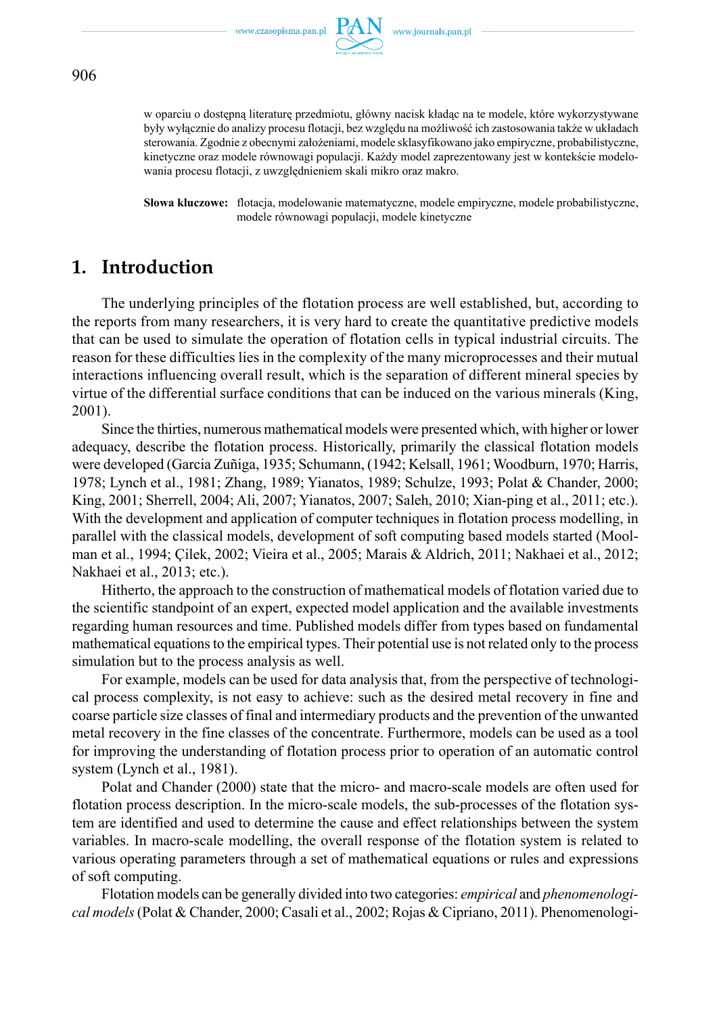

906

w oparciu o dostępną literaturę przedmiotu, główny nacisk kładąc na te modele, które wykorzystywane były wyłącznie do analizy procesu flotacji, bez względu na możliwość ich zastosowania także w układach sterowania. Zgodnie z obecnymi założeniami, modele sklasyfikowano jako empiryczne, probabilistyczne, kinetyczne oraz modele równowagi populacji. Każdy model zaprezentowany jest w kontekście modelowania procesu flotacji, z uwzględnieniem skali mikro oraz makro.

**Słowa kluczowe:** flotacja, modelowanie matematyczne, modele empiryczne, modele probabilistyczne, modele równowagi populacji, modele kinetyczne

# **1. Introduction**

The underlying principles of the flotation process are well established, but, according to the reports from many researchers, it is very hard to create the quantitative predictive models that can be used to simulate the operation of flotation cells in typical industrial circuits. The reason for these difficulties lies in the complexity of the many microprocesses and their mutual interactions influencing overall result, which is the separation of different mineral species by virtue of the differential surface conditions that can be induced on the various minerals (King, 2001).

Since the thirties, numerous mathematical models were presented which, with higher or lower adequacy, describe the flotation process. Historically, primarily the classical flotation models were developed (Garcia Zuñiga, 1935; Schumann, (1942; Kelsall, 1961; Woodburn, 1970; Harris, 1978; Lynch et al., 1981; Zhang, 1989; Yianatos, 1989; Schulze, 1993; Polat & Chander, 2000; King, 2001; Sherrell, 2004; Ali, 2007; Yianatos, 2007; Saleh, 2010; Xian-ping et al., 2011; etc.). With the development and application of computer techniques in flotation process modelling, in parallel with the classical models, development of soft computing based models started (Moolman et al., 1994; Çilek, 2002; Vieira et al., 2005; Marais & Aldrich, 2011; Nakhaei et al., 2012; Nakhaei et al., 2013; etc.).

Hitherto, the approach to the construction of mathematical models of flotation varied due to the scientific standpoint of an expert, expected model application and the available investments regarding human resources and time. Published models differ from types based on fundamental mathematical equations to the empirical types. Their potential use is not related only to the process simulation but to the process analysis as well.

For example, models can be used for data analysis that, from the perspective of technological process complexity, is not easy to achieve: such as the desired metal recovery in fine and coarse particle size classes of final and intermediary products and the prevention of the unwanted metal recovery in the fine classes of the concentrate. Furthermore, models can be used as a tool for improving the understanding of flotation process prior to operation of an automatic control system (Lynch et al., 1981).

Polat and Chander (2000) state that the micro- and macro-scale models are often used for flotation process description. In the micro-scale models, the sub-processes of the flotation system are identified and used to determine the cause and effect relationships between the system variables. In macro-scale modelling, the overall response of the flotation system is related to various operating parameters through a set of mathematical equations or rules and expressions of soft computing.

Flotation models can be generally divided into two categories: *empirical* and *phenomenological models* (Polat & Chander, 2000; Casali et al., 2002; Rojas & Cipriano, 2011). Phenomenologi-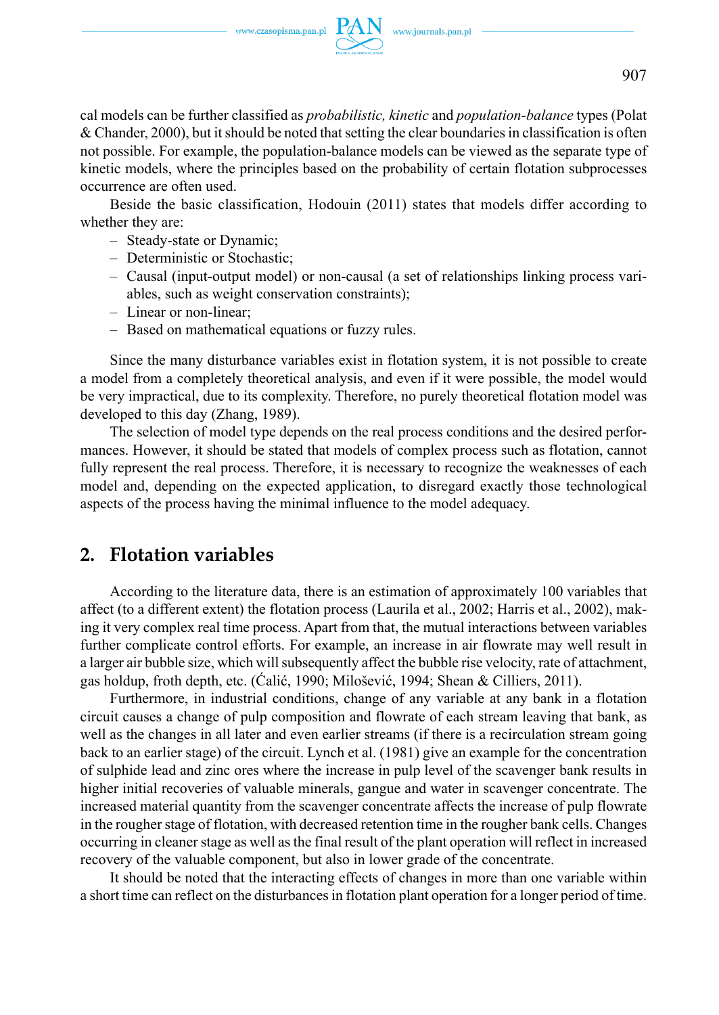cal models can be further classified as *probabilistic, kinetic* and *population-balance* types (Polat & Chander, 2000), but it should be noted that setting the clear boundaries in classification is often not possible. For example, the population-balance models can be viewed as the separate type of kinetic models, where the principles based on the probability of certain flotation subprocesses occurrence are often used.

Beside the basic classification, Hodouin (2011) states that models differ according to whether they are:

- Steady-state or Dynamic;
- Deterministic or Stochastic;
- Causal (input-output model) or non-causal (a set of relationships linking process variables, such as weight conservation constraints);
- Linear or non-linear;
- Based on mathematical equations or fuzzy rules.

Since the many disturbance variables exist in flotation system, it is not possible to create a model from a completely theoretical analysis, and even if it were possible, the model would be very impractical, due to its complexity. Therefore, no purely theoretical flotation model was developed to this day (Zhang, 1989).

The selection of model type depends on the real process conditions and the desired performances. However, it should be stated that models of complex process such as flotation, cannot fully represent the real process. Therefore, it is necessary to recognize the weaknesses of each model and, depending on the expected application, to disregard exactly those technological aspects of the process having the minimal influence to the model adequacy.

# **2. Flotation variables**

According to the literature data, there is an estimation of approximately 100 variables that affect (to a different extent) the flotation process (Laurila et al., 2002; Harris et al., 2002), making it very complex real time process. Apart from that, the mutual interactions between variables further complicate control efforts. For example, an increase in air flowrate may well result in a larger air bubble size, which will subsequently affect the bubble rise velocity, rate of attachment, gas holdup, froth depth, etc. (Ćalić, 1990; Milošević, 1994; Shean & Cilliers, 2011).

Furthermore, in industrial conditions, change of any variable at any bank in a flotation circuit causes a change of pulp composition and flowrate of each stream leaving that bank, as well as the changes in all later and even earlier streams (if there is a recirculation stream going back to an earlier stage) of the circuit. Lynch et al. (1981) give an example for the concentration of sulphide lead and zinc ores where the increase in pulp level of the scavenger bank results in higher initial recoveries of valuable minerals, gangue and water in scavenger concentrate. The increased material quantity from the scavenger concentrate affects the increase of pulp flowrate in the rougher stage of flotation, with decreased retention time in the rougher bank cells. Changes occurring in cleaner stage as well as the final result of the plant operation will reflect in increased recovery of the valuable component, but also in lower grade of the concentrate.

It should be noted that the interacting effects of changes in more than one variable within a short time can reflect on the disturbances in flotation plant operation for a longer period of time.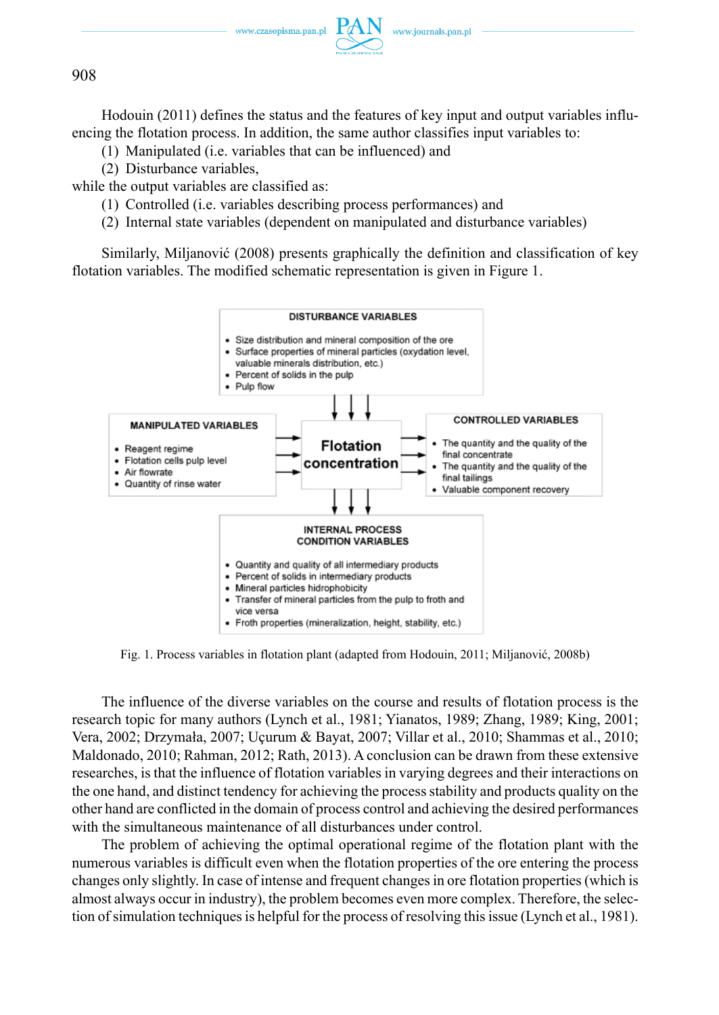www.czasopisma.pan.pl



908

Hodouin (2011) defines the status and the features of key input and output variables influencing the flotation process. In addition, the same author classifies input variables to:

- (1) Manipulated (i.e. variables that can be influenced) and
- (2) Disturbance variables,

while the output variables are classified as:

- (1) Controlled (i.e. variables describing process performances) and
- (2) Internal state variables (dependent on manipulated and disturbance variables)

Similarly, Miljanović (2008) presents graphically the definition and classification of key flotation variables. The modified schematic representation is given in Figure 1.



Fig. 1. Process variables in flotation plant (adapted from Hodouin, 2011; Miljanović, 2008b)

The influence of the diverse variables on the course and results of flotation process is the research topic for many authors (Lynch et al., 1981; Yianatos, 1989; Zhang, 1989; King, 2001; Vera, 2002; Drzymała, 2007; Uçurum & Bayat, 2007; Villar et al., 2010; Shammas et al., 2010; Maldonado, 2010; Rahman, 2012; Rath, 2013). A conclusion can be drawn from these extensive researches, is that the influence of flotation variables in varying degrees and their interactions on the one hand, and distinct tendency for achieving the process stability and products quality on the other hand are conflicted in the domain of process control and achieving the desired performances with the simultaneous maintenance of all disturbances under control.

The problem of achieving the optimal operational regime of the flotation plant with the numerous variables is difficult even when the flotation properties of the ore entering the process changes only slightly. In case of intense and frequent changes in ore flotation properties (which is almost always occur in industry), the problem becomes even more complex. Therefore, the selection of simulation techniques is helpful for the process of resolving this issue (Lynch et al., 1981).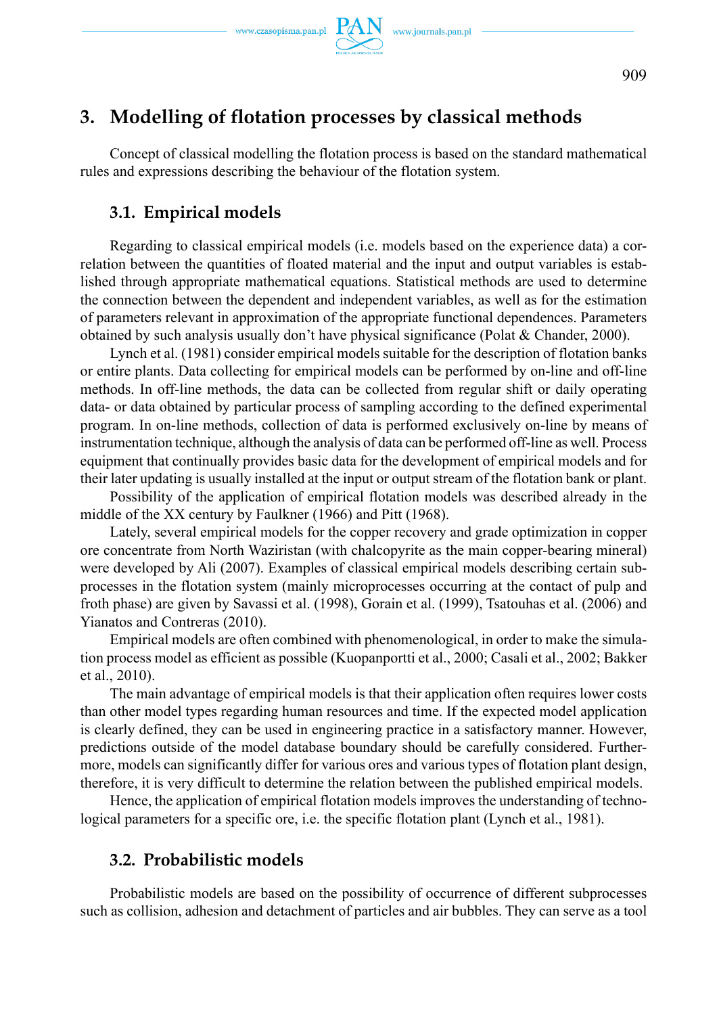# **3. Modelling of flotation processes by classical methods**

Concept of classical modelling the flotation process is based on the standard mathematical rules and expressions describing the behaviour of the flotation system.

# **3.1. Empirical models**

Regarding to classical empirical models (i.e. models based on the experience data) a correlation between the quantities of floated material and the input and output variables is established through appropriate mathematical equations. Statistical methods are used to determine the connection between the dependent and independent variables, as well as for the estimation of parameters relevant in approximation of the appropriate functional dependences. Parameters obtained by such analysis usually don't have physical significance (Polat & Chander, 2000).

Lynch et al. (1981) consider empirical models suitable for the description of flotation banks or entire plants. Data collecting for empirical models can be performed by on-line and off-line methods. In off-line methods, the data can be collected from regular shift or daily operating data- or data obtained by particular process of sampling according to the defined experimental program. In on-line methods, collection of data is performed exclusively on-line by means of instrumentation technique, although the analysis of data can be performed off-line as well. Process equipment that continually provides basic data for the development of empirical models and for their later updating is usually installed at the input or output stream of the flotation bank or plant.

Possibility of the application of empirical flotation models was described already in the middle of the XX century by Faulkner (1966) and Pitt (1968).

Lately, several empirical models for the copper recovery and grade optimization in copper ore concentrate from North Waziristan (with chalcopyrite as the main copper-bearing mineral) were developed by Ali (2007). Examples of classical empirical models describing certain subprocesses in the flotation system (mainly microprocesses occurring at the contact of pulp and froth phase) are given by Savassi et al. (1998), Gorain et al. (1999), Tsatouhas et al. (2006) and Yianatos and Contreras (2010).

Empirical models are often combined with phenomenological, in order to make the simulation process model as efficient as possible (Kuopanportti et al., 2000; Casali et al., 2002; Bakker et al., 2010).

The main advantage of empirical models is that their application often requires lower costs than other model types regarding human resources and time. If the expected model application is clearly defined, they can be used in engineering practice in a satisfactory manner. However, predictions outside of the model database boundary should be carefully considered. Furthermore, models can significantly differ for various ores and various types of flotation plant design, therefore, it is very difficult to determine the relation between the published empirical models.

Hence, the application of empirical flotation models improves the understanding of technological parameters for a specific ore, i.e. the specific flotation plant (Lynch et al., 1981).

### **3.2. Probabilistic models**

Probabilistic models are based on the possibility of occurrence of different subprocesses such as collision, adhesion and detachment of particles and air bubbles. They can serve as a tool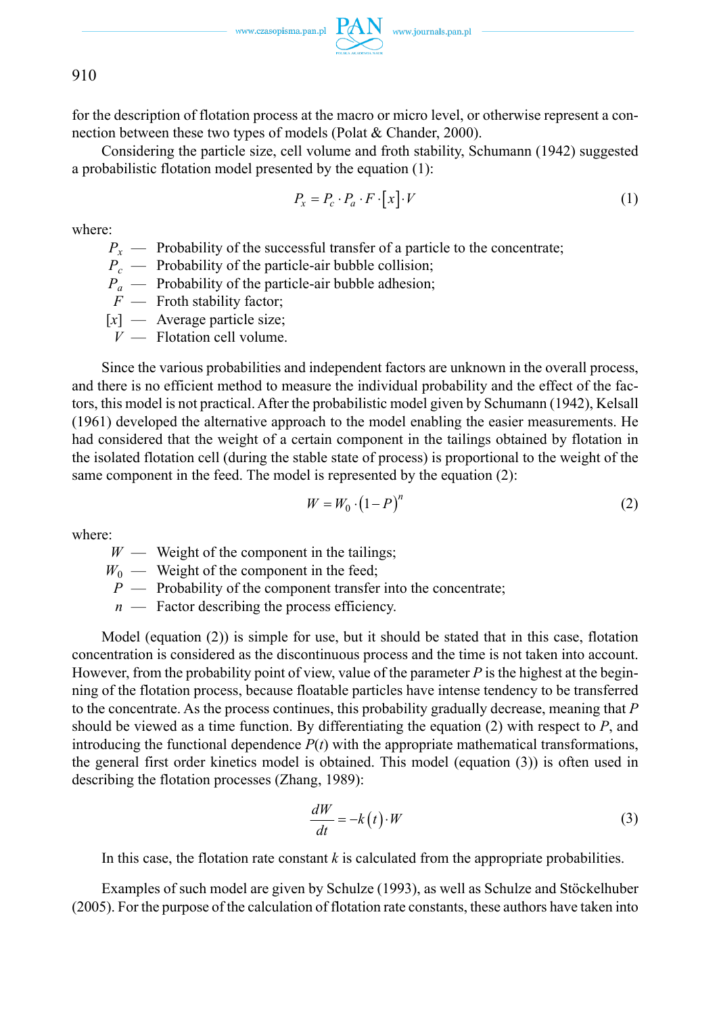910

for the description of flotation process at the macro or micro level, or otherwise represent a connection between these two types of models (Polat & Chander, 2000).

Considering the particle size, cell volume and froth stability, Schumann (1942) suggested a probabilistic flotation model presented by the equation (1):

$$
P_x = P_c \cdot P_a \cdot F \cdot [x] \cdot V \tag{1}
$$

where:

 $P_x$  — Probability of the successful transfer of a particle to the concentrate;

 $P_c$  — Probability of the particle-air bubble collision;

 $P_a$  — Probability of the particle-air bubble adhesion;

 $F -$  Froth stability factor;

[x] — Average particle size;

 $V -$  Flotation cell volume.

Since the various probabilities and independent factors are unknown in the overall process, and there is no efficient method to measure the individual probability and the effect of the factors, this model is not practical. After the probabilistic model given by Schumann (1942), Kelsall (1961) developed the alternative approach to the model enabling the easier measurements. He had considered that the weight of a certain component in the tailings obtained by flotation in the isolated flotation cell (during the stable state of process) is proportional to the weight of the same component in the feed. The model is represented by the equation (2):

$$
W = W_0 \cdot \left(1 - P\right)^n \tag{2}
$$

where:

 $W -$  Weight of the component in the tailings;

 $W_0$  — Weight of the component in the feed;

 $P -$  Probability of the component transfer into the concentrate;

 $n$  — Factor describing the process efficiency.

Model (equation (2)) is simple for use, but it should be stated that in this case, flotation concentration is considered as the discontinuous process and the time is not taken into account. However, from the probability point of view, value of the parameter *P* is the highest at the beginning of the flotation process, because floatable particles have intense tendency to be transferred to the concentrate. As the process continues, this probability gradually decrease, meaning that *P* should be viewed as a time function. By differentiating the equation (2) with respect to *P*, and introducing the functional dependence  $P(t)$  with the appropriate mathematical transformations, the general first order kinetics model is obtained. This model (equation (3)) is often used in describing the flotation processes (Zhang, 1989):

$$
\frac{dW}{dt} = -k(t) \cdot W\tag{3}
$$

In this case, the flotation rate constant *k* is calculated from the appropriate probabilities.

Examples of such model are given by Schulze (1993), as well as Schulze and Stöckelhuber (2005). For the purpose of the calculation of flotation rate constants, these authors have taken into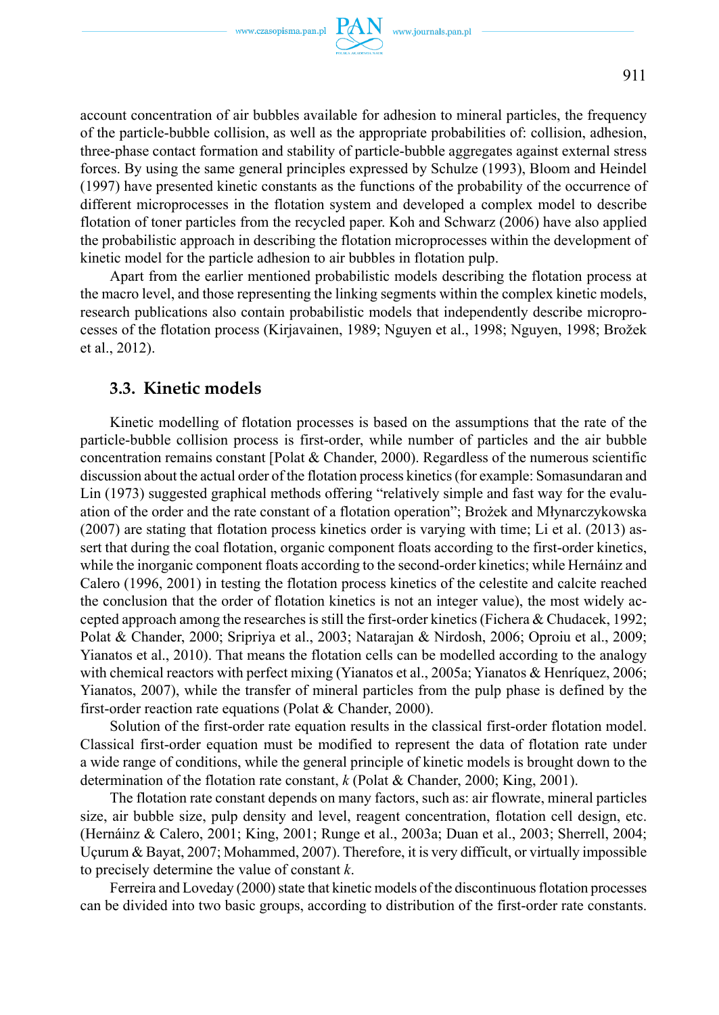

account concentration of air bubbles available for adhesion to mineral particles, the frequency of the particle-bubble collision, as well as the appropriate probabilities of: collision, adhesion, three-phase contact formation and stability of particle-bubble aggregates against external stress forces. By using the same general principles expressed by Schulze (1993), Bloom and Heindel (1997) have presented kinetic constants as the functions of the probability of the occurrence of different microprocesses in the flotation system and developed a complex model to describe flotation of toner particles from the recycled paper. Koh and Schwarz (2006) have also applied the probabilistic approach in describing the flotation microprocesses within the development of kinetic model for the particle adhesion to air bubbles in flotation pulp.

Apart from the earlier mentioned probabilistic models describing the flotation process at the macro level, and those representing the linking segments within the complex kinetic models, research publications also contain probabilistic models that independently describe microprocesses of the flotation process (Kirjavainen, 1989; Nguyen et al., 1998; Nguyen, 1998; Brožek et al., 2012).

### **3.3. Kinetic models**

Kinetic modelling of flotation processes is based on the assumptions that the rate of the particle-bubble collision process is first-order, while number of particles and the air bubble concentration remains constant [Polat & Chander, 2000). Regardless of the numerous scientific discussion about the actual order of the flotation process kinetics (for example: Somasundaran and Lin (1973) suggested graphical methods offering "relatively simple and fast way for the evaluation of the order and the rate constant of a flotation operation"; Brożek and Młynarczykowska (2007) are stating that flotation process kinetics order is varying with time; Li et al. (2013) assert that during the coal flotation, organic component floats according to the first-order kinetics, while the inorganic component floats according to the second-order kinetics; while Hernáinz and Calero (1996, 2001) in testing the flotation process kinetics of the celestite and calcite reached the conclusion that the order of flotation kinetics is not an integer value), the most widely accepted approach among the researches is still the first-order kinetics (Fichera & Chudacek, 1992; Polat & Chander, 2000; Sripriya et al., 2003; Natarajan & Nirdosh, 2006; Oproiu et al., 2009; Yianatos et al., 2010). That means the flotation cells can be modelled according to the analogy with chemical reactors with perfect mixing (Yianatos et al., 2005a; Yianatos & Henríquez, 2006; Yianatos, 2007), while the transfer of mineral particles from the pulp phase is defined by the first-order reaction rate equations (Polat & Chander, 2000).

Solution of the first-order rate equation results in the classical first-order flotation model. Classical first-order equation must be modified to represent the data of flotation rate under a wide range of conditions, while the general principle of kinetic models is brought down to the determination of the flotation rate constant, *k* (Polat & Chander, 2000; King, 2001).

The flotation rate constant depends on many factors, such as: air flowrate, mineral particles size, air bubble size, pulp density and level, reagent concentration, flotation cell design, etc. (Hernáinz & Calero, 2001; King, 2001; Runge et al., 2003a; Duan et al., 2003; Sherrell, 2004; Uçurum & Bayat, 2007; Mohammed, 2007). Therefore, it is very difficult, or virtually impossible to precisely determine the value of constant *k*.

Ferreira and Loveday (2000) state that kinetic models of the discontinuous flotation processes can be divided into two basic groups, according to distribution of the first-order rate constants.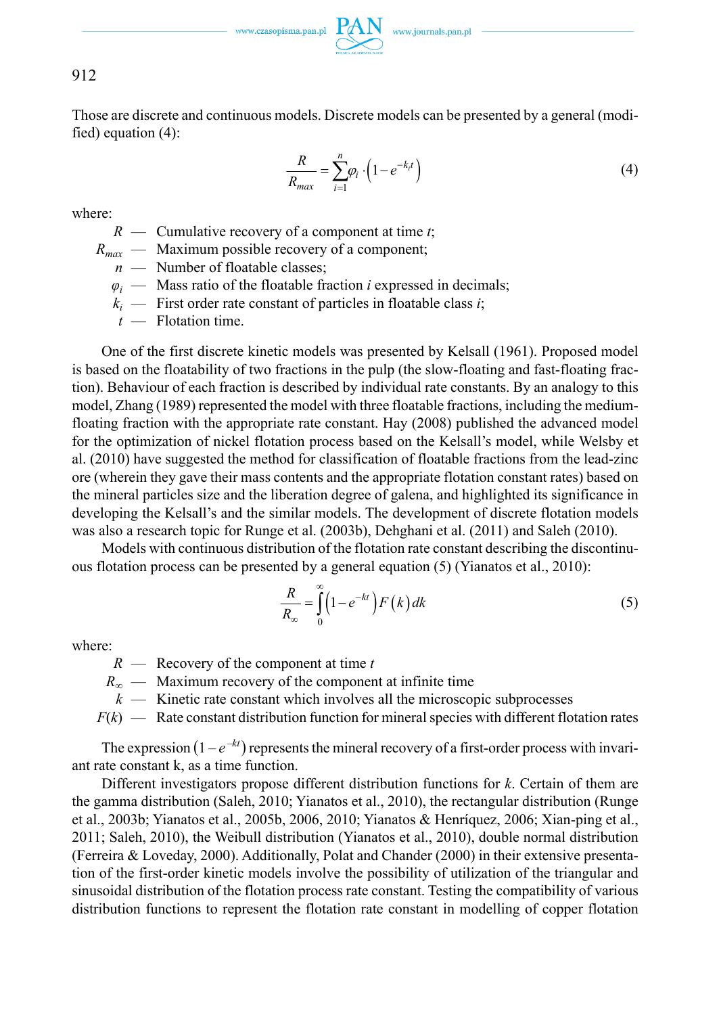

912

Those are discrete and continuous models. Discrete models can be presented by a general (modified) equation (4):

$$
\frac{R}{R_{max}} = \sum_{i=1}^{n} \varphi_i \cdot \left(1 - e^{-k_i t}\right) \tag{4}
$$

where:

*R* — Cumulative recovery of a component at time *t*;

 $R_{max}$  — Maximum possible recovery of a component;

*n* — Number of floatable classes;

*φi* — Mass ratio of the floatable fraction *i* expressed in decimals;

 $k_i$  — First order rate constant of particles in floatable class *i*;

*t* — Flotation time.

One of the first discrete kinetic models was presented by Kelsall (1961). Proposed model is based on the floatability of two fractions in the pulp (the slow-floating and fast-floating fraction). Behaviour of each fraction is described by individual rate constants. By an analogy to this model, Zhang (1989) represented the model with three floatable fractions, including the mediumfloating fraction with the appropriate rate constant. Hay (2008) published the advanced model for the optimization of nickel flotation process based on the Kelsall's model, while Welsby et al. (2010) have suggested the method for classification of floatable fractions from the lead-zinc ore (wherein they gave their mass contents and the appropriate flotation constant rates) based on the mineral particles size and the liberation degree of galena, and highlighted its significance in developing the Kelsall's and the similar models. The development of discrete flotation models was also a research topic for Runge et al. (2003b), Dehghani et al. (2011) and Saleh (2010).

Models with continuous distribution of the flotation rate constant describing the discontinuous flotation process can be presented by a general equation (5) (Yianatos et al., 2010):

$$
\frac{R}{R_{\infty}} = \int_{0}^{\infty} \left(1 - e^{-kt}\right) F\left(k\right) dk \tag{5}
$$

where:

- *R* Recovery of the component at time *t*
- *R*∞ Maximum recovery of the component at infinite time
- $k$  Kinetic rate constant which involves all the microscopic subprocesses
- $F(k)$  Rate constant distribution function for mineral species with different flotation rates

The expression  $(1 - e^{-kt})$  represents the mineral recovery of a first-order process with invariant rate constant k, as a time function.

Different investigators propose different distribution functions for *k*. Certain of them are the gamma distribution (Saleh, 2010; Yianatos et al., 2010), the rectangular distribution (Runge et al., 2003b; Yianatos et al., 2005b, 2006, 2010; Yianatos & Henríquez, 2006; Xian-ping et al., 2011; Saleh, 2010), the Weibull distribution (Yianatos et al., 2010), double normal distribution (Ferreira & Loveday, 2000). Additionally, Polat and Chander (2000) in their extensive presentation of the first-order kinetic models involve the possibility of utilization of the triangular and sinusoidal distribution of the flotation process rate constant. Testing the compatibility of various distribution functions to represent the flotation rate constant in modelling of copper flotation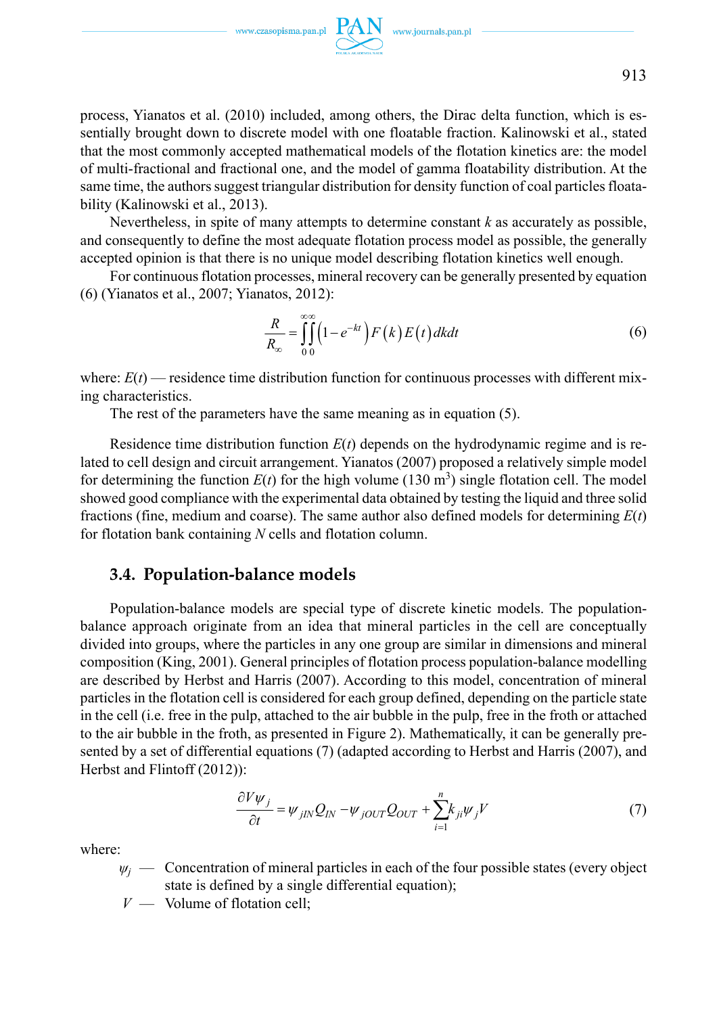

process, Yianatos et al. (2010) included, among others, the Dirac delta function, which is essentially brought down to discrete model with one floatable fraction. Kalinowski et al., stated that the most commonly accepted mathematical models of the flotation kinetics are: the model of multi-fractional and fractional one, and the model of gamma floatability distribution. At the same time, the authors suggest triangular distribution for density function of coal particles floatability (Kalinowski et al., 2013).

Nevertheless, in spite of many attempts to determine constant *k* as accurately as possible, and consequently to define the most adequate flotation process model as possible, the generally accepted opinion is that there is no unique model describing flotation kinetics well enough.

For continuous flotation processes, mineral recovery can be generally presented by equation (6) (Yianatos et al., 2007; Yianatos, 2012):

$$
\frac{R}{R_{\infty}} = \int_{0}^{\infty} \int_{0}^{\infty} \left(1 - e^{-kt}\right) F\left(k\right) E\left(t\right) dk dt \tag{6}
$$

where:  $E(t)$  — residence time distribution function for continuous processes with different mixing characteristics.

The rest of the parameters have the same meaning as in equation (5).

Residence time distribution function *E*(*t*) depends on the hydrodynamic regime and is related to cell design and circuit arrangement. Yianatos (2007) proposed a relatively simple model for determining the function  $E(t)$  for the high volume (130 m<sup>3</sup>) single flotation cell. The model showed good compliance with the experimental data obtained by testing the liquid and three solid fractions (fine, medium and coarse). The same author also defined models for determining *E*(*t*) for flotation bank containing *N* cells and flotation column.

#### **3.4. Population-balance models**

Population-balance models are special type of discrete kinetic models. The populationbalance approach originate from an idea that mineral particles in the cell are conceptually divided into groups, where the particles in any one group are similar in dimensions and mineral composition (King, 2001). General principles of flotation process population-balance modelling are described by Herbst and Harris (2007). According to this model, concentration of mineral particles in the flotation cell is considered for each group defined, depending on the particle state in the cell (i.e. free in the pulp, attached to the air bubble in the pulp, free in the froth or attached to the air bubble in the froth, as presented in Figure 2). Mathematically, it can be generally presented by a set of differential equations (7) (adapted according to Herbst and Harris (2007), and Herbst and Flintoff (2012)):

$$
\frac{\partial V\psi_j}{\partial t} = \psi_{jIN} Q_{IN} - \psi_{jOUT} Q_{OUT} + \sum_{i=1}^{n} k_{ji} \psi_j V \tag{7}
$$

where:

- *ψj* — Concentration of mineral particles in each of the four possible states (every object state is defined by a single differential equation);
- *V* Volume of flotation cell;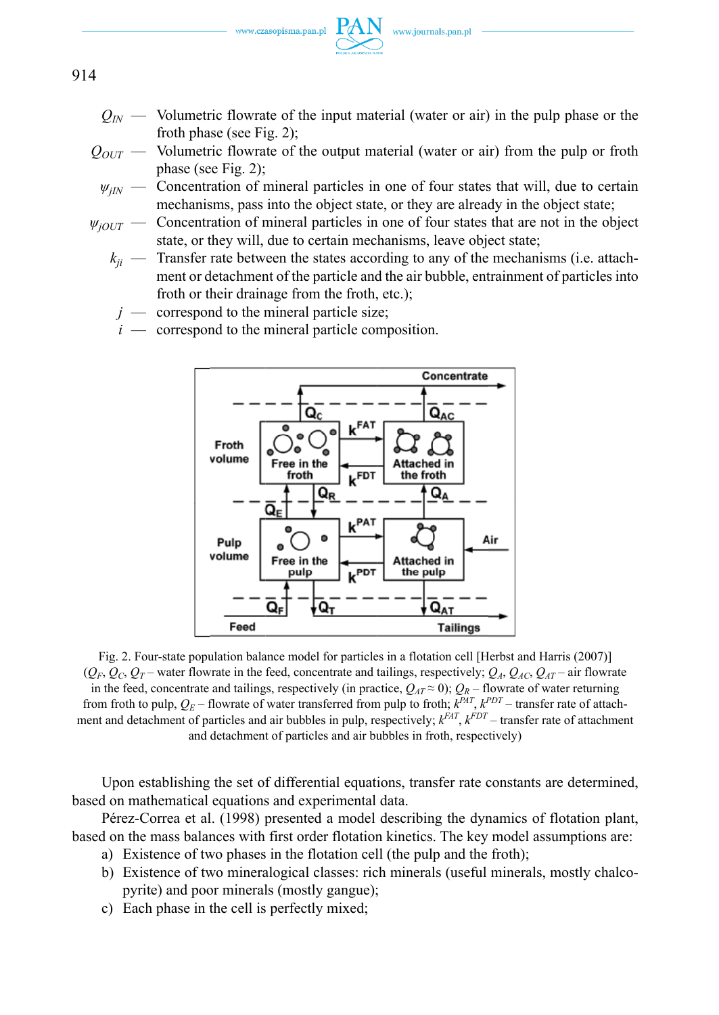

- $Q_N$  Volumetric flowrate of the input material (water or air) in the pulp phase or the froth phase (see Fig. 2);
- $Q_{OUT}$  Volumetric flowrate of the output material (water or air) from the pulp or froth phase (see Fig. 2);
- $\psi_{jIN}$  Concentration of mineral particles in one of four states that will, due to certain mechanisms, pass into the object state, or they are already in the object state;
- $\psi_{iOUT}$  Concentration of mineral particles in one of four states that are not in the object state, or they will, due to certain mechanisms, leave object state;
	- $k_{ii}$  Transfer rate between the states according to any of the mechanisms (i.e. attachment or detachment of the particle and the air bubble, entrainment of particles into froth or their drainage from the froth, etc.);
	- $j$  correspond to the mineral particle size;
	- $i$  correspond to the mineral particle composition.



Fig. 2. Four-state population balance model for particles in a flotation cell [Herbst and Harris (2007)]  $(Q_F, Q_C, Q_T)$  – water flowrate in the feed, concentrate and tailings, respectively;  $Q_A, Q_{AC}, Q_{AT}$  – air flowrate in the feed, concentrate and tailings, respectively (in practice,  $Q_{AT} \approx 0$ );  $Q_R$  – flowrate of water returning from froth to pulp,  $Q_E$  – flowrate of water transferred from pulp to froth;  $k^{PAT}$ ,  $k^{PDT}$  – transfer rate of attachment and detachment of particles and air bubbles in pulp, respectively;  $k<sup>FAT</sup>, k<sup>FDT</sup>$  – transfer rate of attachment and detachment of particles and air bubbles in froth, respectively)

Upon establishing the set of differential equations, transfer rate constants are determined, based on mathematical equations and experimental data.

Pérez-Correa et al. (1998) presented a model describing the dynamics of flotation plant, based on the mass balances with first order flotation kinetics. The key model assumptions are:

- a) Existence of two phases in the flotation cell (the pulp and the froth);
- b) Existence of two mineralogical classes: rich minerals (useful minerals, mostly chalcopyrite) and poor minerals (mostly gangue);
- c) Each phase in the cell is perfectly mixed;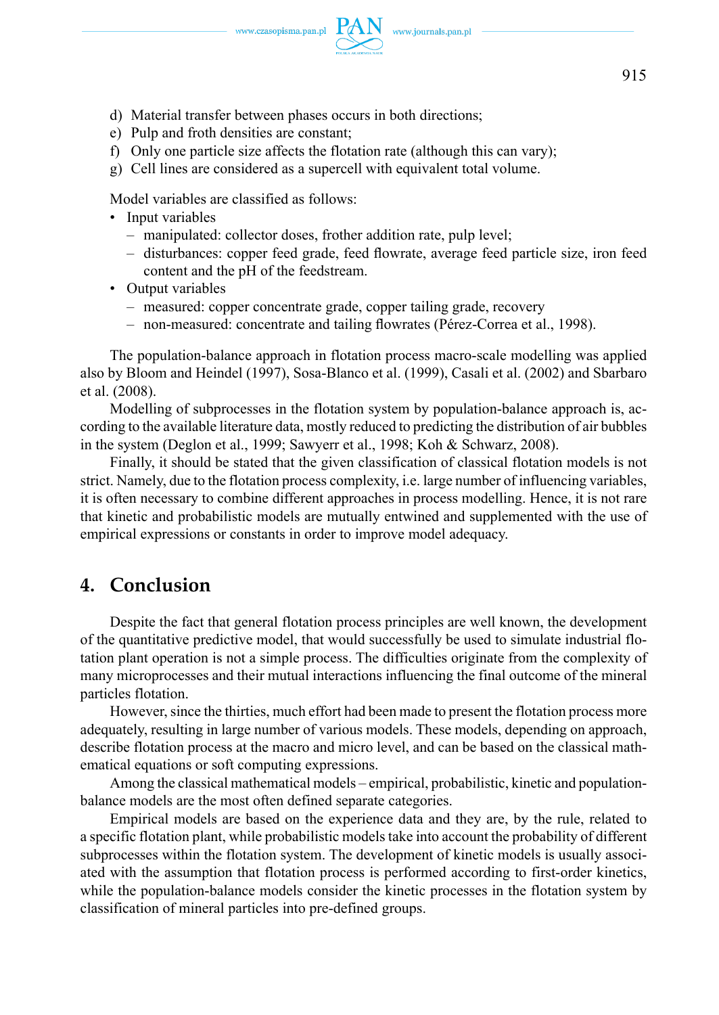

- d) Material transfer between phases occurs in both directions;
- e) Pulp and froth densities are constant;
- f) Only one particle size affects the flotation rate (although this can vary);
- g) Cell lines are considered as a supercell with equivalent total volume.

Model variables are classified as follows:

- Input variables
	- manipulated: collector doses, frother addition rate, pulp level;
	- disturbances: copper feed grade, feed flowrate, average feed particle size, iron feed content and the pH of the feedstream.
- Output variables
	- measured: copper concentrate grade, copper tailing grade, recovery
	- non-measured: concentrate and tailing flowrates (Pérez-Correa et al., 1998).

The population-balance approach in flotation process macro-scale modelling was applied also by Bloom and Heindel (1997), Sosa-Blanco et al. (1999), Casali et al. (2002) and Sbarbaro et al. (2008).

Modelling of subprocesses in the flotation system by population-balance approach is, according to the available literature data, mostly reduced to predicting the distribution of air bubbles in the system (Deglon et al., 1999; Sawyerr et al., 1998; Koh & Schwarz, 2008).

Finally, it should be stated that the given classification of classical flotation models is not strict. Namely, due to the flotation process complexity, i.e. large number of influencing variables, it is often necessary to combine different approaches in process modelling. Hence, it is not rare that kinetic and probabilistic models are mutually entwined and supplemented with the use of empirical expressions or constants in order to improve model adequacy.

# **4. Conclusion**

Despite the fact that general flotation process principles are well known, the development of the quantitative predictive model, that would successfully be used to simulate industrial flotation plant operation is not a simple process. The difficulties originate from the complexity of many microprocesses and their mutual interactions influencing the final outcome of the mineral particles flotation.

However, since the thirties, much effort had been made to present the flotation process more adequately, resulting in large number of various models. These models, depending on approach, describe flotation process at the macro and micro level, and can be based on the classical mathematical equations or soft computing expressions.

Among the classical mathematical models – empirical, probabilistic, kinetic and populationbalance models are the most often defined separate categories.

Empirical models are based on the experience data and they are, by the rule, related to a specific flotation plant, while probabilistic models take into account the probability of different subprocesses within the flotation system. The development of kinetic models is usually associated with the assumption that flotation process is performed according to first-order kinetics, while the population-balance models consider the kinetic processes in the flotation system by classification of mineral particles into pre-defined groups.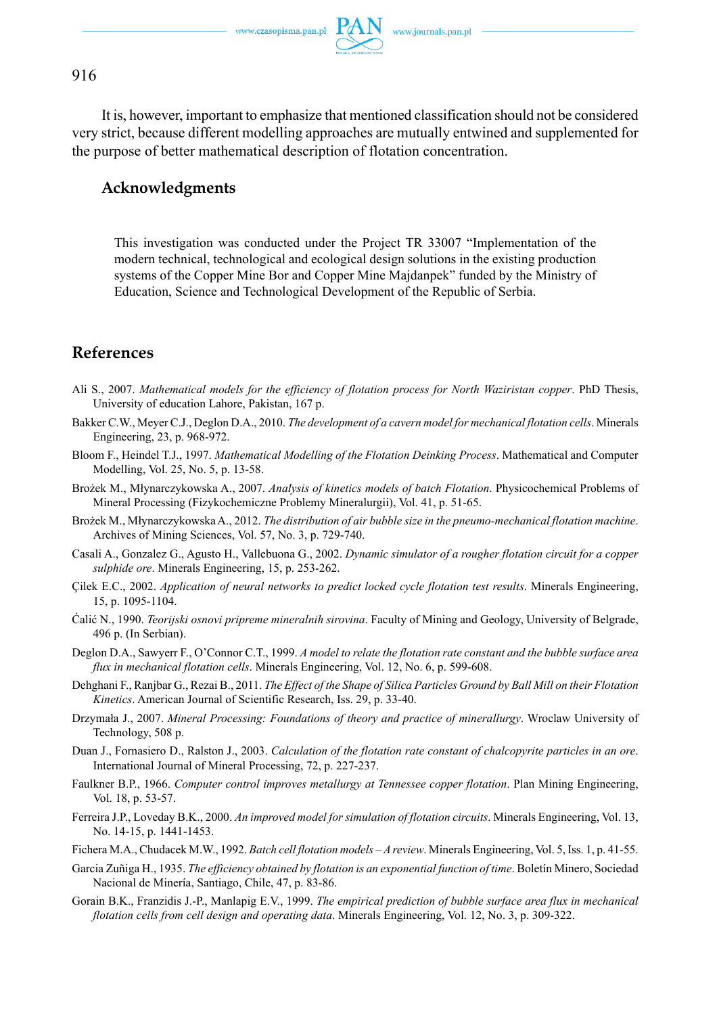www.czasopisma.pan.pl  $PA$ 



It is, however, important to emphasize that mentioned classification should not be considered very strict, because different modelling approaches are mutually entwined and supplemented for the purpose of better mathematical description of flotation concentration.

#### **Acknowledgments**

This investigation was conducted under the Project TR 33007 "Implementation of the modern technical, technological and ecological design solutions in the existing production systems of the Copper Mine Bor and Copper Mine Majdanpek" funded by the Ministry of Education, Science and Technological Development of the Republic of Serbia.

### **References**

- Ali S., 2007. *Mathematical models for the efficiency of flotation process for North Waziristan copper*. PhD Thesis, University of education Lahore, Pakistan, 167 p.
- Bakker C.W., Meyer C.J., Deglon D.A., 2010. *The development of a cavern model for mechanical flotation cells*. Minerals Engineering, 23, p. 968-972.
- Bloom F., Heindel T.J., 1997. *Mathematical Modelling of the Flotation Deinking Process*. Mathematical and Computer Modelling, Vol. 25, No. 5, p. 13-58.
- Brożek M., Młynarczykowska A., 2007. *Analysis of kinetics models of batch Flotation*. Physicochemical Problems of Mineral Processing (Fizykochemiczne Problemy Mineralurgii), Vol. 41, p. 51-65.
- Brożek M., Młynarczykowska A., 2012. *The distribution of air bubble size in the pneumo-mechanical flotation machine*. Archives of Mining Sciences, Vol. 57, No. 3, p. 729-740.
- Casali A., Gonzalez G., Agusto H., Vallebuona G., 2002. *Dynamic simulator of a rougher flotation circuit for a copper sulphide ore*. Minerals Engineering, 15, p. 253-262.
- Çilek E.C., 2002. *Application of neural networks to predict locked cycle flotation test results*. Minerals Engineering, 15, p. 1095-1104.
- Ćalić N., 1990. *Teorijski osnovi pripreme mineralnih sirovina*. Faculty of Mining and Geology, University of Belgrade, 496 p. (In Serbian).
- Deglon D.A., Sawyerr F., O'Connor C.T., 1999. *A model to relate the flotation rate constant and the bubble surface area flux in mechanical flotation cells*. Minerals Engineering, Vol. 12, No. 6, p. 599-608.
- Dehghani F., Ranjbar G., Rezai B., 2011. *The Effect of the Shape of Silica Particles Ground by Ball Mill on their Flotation Kinetics*. American Journal of Scientific Research, Iss. 29, p. 33-40.
- Drzymała J., 2007. *Mineral Processing: Foundations of theory and practice of minerallurgy*. Wroclaw University of Technology, 508 p.
- Duan J., Fornasiero D., Ralston J., 2003. *Calculation of the flotation rate constant of chalcopyrite particles in an ore*. International Journal of Mineral Processing, 72, p. 227-237.
- Faulkner B.P., 1966. *Computer control improves metallurgy at Tennessee copper flotation*. Plan Mining Engineering, Vol. 18, p. 53-57.
- Ferreira J.P., Loveday B.K., 2000. *An improved model for simulation of flotation circuits*. Minerals Engineering, Vol. 13, No. 14-15, p. 1441-1453.
- Fichera M.A., Chudacek M.W., 1992. *Batch cell flotation models A review*. Minerals Engineering, Vol. 5, Iss. 1, p. 41-55.
- Garcia Zuñiga H., 1935. *The efficiency obtained by flotation is an exponential function of time*. Boletín Minero, Sociedad Nacional de Minería, Santiago, Chile, 47, p. 83-86.
- Gorain B.K., Franzidis J.-P., Manlapig E.V., 1999. *The empirical prediction of bubble surface area flux in mechanical flotation cells from cell design and operating data*. Minerals Engineering, Vol. 12, No. 3, p. 309-322.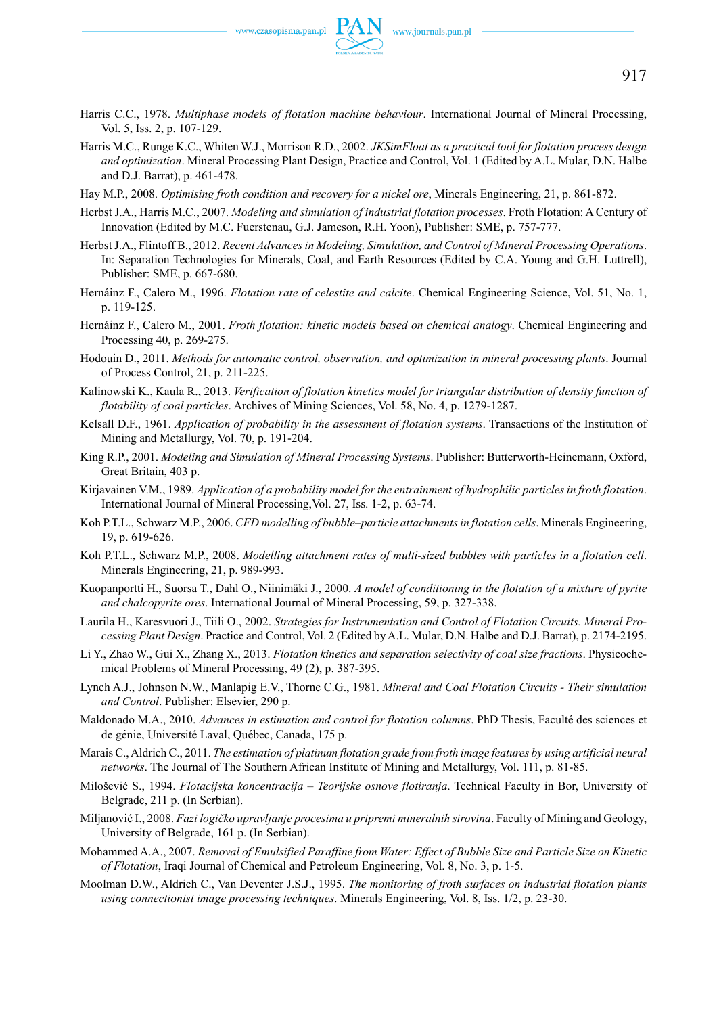- Harris C.C., 1978. *Multiphase models of flotation machine behaviour*. International Journal of Mineral Processing, Vol. 5, Iss. 2, p. 107-129.
- Harris M.C., Runge K.C., Whiten W.J., Morrison R.D., 2002. *JKSimFloat as a practical tool for flotation process design and optimization*. Mineral Processing Plant Design, Practice and Control, Vol. 1 (Edited by A.L. Mular, D.N. Halbe and D.J. Barrat), p. 461-478.
- Hay M.P., 2008. *Optimising froth condition and recovery for a nickel ore*, Minerals Engineering, 21, p. 861-872.
- Herbst J.A., Harris M.C., 2007. *Modeling and simulation of industrial flotation processes*. Froth Flotation: A Century of Innovation (Edited by M.C. Fuerstenau, G.J. Jameson, R.H. Yoon), Publisher: SME, p. 757-777.
- Herbst J.A., Flintoff B., 2012. *Recent Advances in Modeling, Simulation, and Control of Mineral Processing Operations*. In: Separation Technologies for Minerals, Coal, and Earth Resources (Edited by C.A. Young and G.H. Luttrell), Publisher: SME, p. 667-680.
- Hernáinz F., Calero M., 1996. *Flotation rate of celestite and calcite*. Chemical Engineering Science, Vol. 51, No. 1, p. 119-125.
- Hernáinz F., Calero M., 2001. *Froth flotation: kinetic models based on chemical analogy*. Chemical Engineering and Processing 40, p. 269-275.
- Hodouin D., 2011. *Methods for automatic control, observation, and optimization in mineral processing plants*. Journal of Process Control, 21, p. 211-225.
- Kalinowski K., Kaula R., 2013. *Verification of flotation kinetics model for triangular distribution of density function of flotability of coal particles*. Archives of Mining Sciences, Vol. 58, No. 4, p. 1279-1287.
- Kelsall D.F., 1961. *Application of probability in the assessment of flotation systems*. Transactions of the Institution of Mining and Metallurgy, Vol. 70, p. 191-204.
- King R.P., 2001. *Modeling and Simulation of Mineral Processing Systems*. Publisher: Butterworth-Heinemann, Oxford, Great Britain, 403 p.
- Kirjavainen V.M., 1989. *Application of a probability model for the entrainment of hydrophilic particles in froth flotation*. International Journal of Mineral Processing,Vol. 27, Iss. 1-2, p. 63-74.
- Koh P.T.L., Schwarz M.P., 2006. *CFD modelling of bubble–particle attachments in flotation cells*. Minerals Engineering, 19, p. 619-626.
- Koh P.T.L., Schwarz M.P., 2008. *Modelling attachment rates of multi-sized bubbles with particles in a flotation cell*. Minerals Engineering, 21, p. 989-993.
- Kuopanportti H., Suorsa T., Dahl O., Niinimäki J., 2000. *A model of conditioning in the flotation of a mixture of pyrite and chalcopyrite ores*. International Journal of Mineral Processing, 59, p. 327-338.
- Laurila H., Karesvuori J., Tiili O., 2002. *Strategies for Instrumentation and Control of Flotation Circuits. Mineral Processing Plant Design*. Practice and Control, Vol. 2 (Edited by A.L. Mular, D.N. Halbe and D.J. Barrat), p. 2174-2195.
- Li Y., Zhao W., Gui X., Zhang X., 2013. *Flotation kinetics and separation selectivity of coal size fractions*. Physicochemical Problems of Mineral Processing, 49 (2), p. 387-395.
- Lynch A.J., Johnson N.W., Manlapig E.V., Thorne C.G., 1981. *Mineral and Coal Flotation Circuits Their simulation and Control*. Publisher: Elsevier, 290 p.
- Maldonado M.A., 2010. *Advances in estimation and control for flotation columns*. PhD Thesis, Faculté des sciences et de génie, Université Laval, Québec, Canada, 175 p.
- Marais C., Aldrich C., 2011. *The estimation of platinum flotation grade from froth image features by using artificial neural networks*. The Journal of The Southern African Institute of Mining and Metallurgy, Vol. 111, p. 81-85.
- Milošević S., 1994. *Flotacijska koncentracija Teorijske osnove flotiranja*. Technical Faculty in Bor, University of Belgrade, 211 p. (In Serbian).
- Miljanović I., 2008. *Fazi logičko upravljanje procesima u pripremi mineralnih sirovina*. Faculty of Mining and Geology, University of Belgrade, 161 p. (In Serbian).
- Mohammed A.A., 2007. *Removal of Emulsified Paraffine from Water: Effect of Bubble Size and Particle Size on Kinetic of Flotation*, Iraqi Journal of Chemical and Petroleum Engineering, Vol. 8, No. 3, p. 1-5.
- Moolman D.W., Aldrich C., Van Deventer J.S.J., 1995. *The monitoring of froth surfaces on industrial flotation plants using connectionist image processing techniques*. Minerals Engineering, Vol. 8, Iss. 1/2, p. 23-30.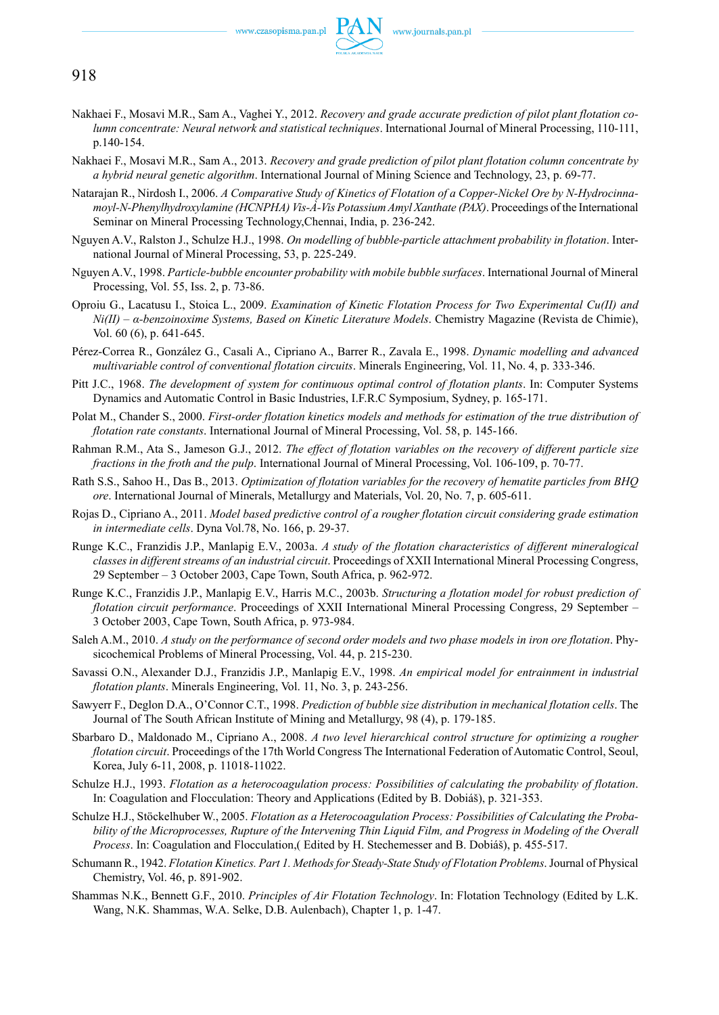www.czasopisma.pan.pl



- Nakhaei F., Mosavi M.R., Sam A., Vaghei Y., 2012. *Recovery and grade accurate prediction of pilot plant flotation column concentrate: Neural network and statistical techniques*. International Journal of Mineral Processing, 110-111, p.140-154.
- Nakhaei F., Mosavi M.R., Sam A., 2013. *Recovery and grade prediction of pilot plant flotation column concentrate by a hybrid neural genetic algorithm*. International Journal of Mining Science and Technology, 23, p. 69-77.
- Natarajan R., Nirdosh I., 2006. *A Comparative Study of Kinetics of Flotation of a Copper-Nickel Ore by N-Hydrocinnamoyl-N-Phenylhydroxylamine (HCNPHA) Vis-À-Vis Potassium Amyl Xanthate (PAX)*. Proceedings of the International Seminar on Mineral Processing Technology,Chennai, India, p. 236-242.
- Nguyen A.V., Ralston J., Schulze H.J., 1998. *On modelling of bubble-particle attachment probability in flotation*. International Journal of Mineral Processing, 53, p. 225-249.
- Nguyen A.V., 1998. *Particle-bubble encounter probability with mobile bubble surfaces*. International Journal of Mineral Processing, Vol. 55, Iss. 2, p. 73-86.
- Oproiu G., Lacatusu I., Stoica L., 2009. *Examination of Kinetic Flotation Process for Two Experimental Cu(II) and Ni(II) – α-benzoinoxime Systems, Based on Kinetic Literature Models*. Chemistry Magazine (Revista de Chimie), Vol. 60 (6), p. 641-645.
- Pérez-Correa R., González G., Casali A., Cipriano A., Barrer R., Zavala E., 1998. *Dynamic modelling and advanced multivariable control of conventional flotation circuits*. Minerals Engineering, Vol. 11, No. 4, p. 333-346.
- Pitt J.C., 1968. *The development of system for continuous optimal control of flotation plants*. In: Computer Systems Dynamics and Automatic Control in Basic Industries, I.F.R.C Symposium, Sydney, p. 165-171.
- Polat M., Chander S., 2000. *First-order flotation kinetics models and methods for estimation of the true distribution of flotation rate constants*. International Journal of Mineral Processing, Vol. 58, p. 145-166.
- Rahman R.M., Ata S., Jameson G.J., 2012. *The effect of flotation variables on the recovery of different particle size fractions in the froth and the pulp*. International Journal of Mineral Processing, Vol. 106-109, p. 70-77.
- Rath S.S., Sahoo H., Das B., 2013. *Optimization of flotation variables for the recovery of hematite particles from BHQ ore*. International Journal of Minerals, Metallurgy and Materials, Vol. 20, No. 7, p. 605-611.
- Rojas D., Cipriano A., 2011. *Model based predictive control of a rougher flotation circuit considering grade estimation in intermediate cells*. Dyna Vol.78, No. 166, p. 29-37.
- Runge K.C., Franzidis J.P., Manlapig E.V., 2003a. *A study of the flotation characteristics of different mineralogical classes in different streams of an industrial circuit*. Proceedings of XXII International Mineral Processing Congress, 29 September – 3 October 2003, Cape Town, South Africa, p. 962-972.
- Runge K.C., Franzidis J.P., Manlapig E.V., Harris M.C., 2003b. *Structuring a flotation model for robust prediction of flotation circuit performance*. Proceedings of XXII International Mineral Processing Congress, 29 September – 3 October 2003, Cape Town, South Africa, p. 973-984.
- Saleh A.M., 2010. *A study on the performance of second order models and two phase models in iron ore flotation*. Physicochemical Problems of Mineral Processing, Vol. 44, p. 215-230.
- Savassi O.N., Alexander D.J., Franzidis J.P., Manlapig E.V., 1998. *An empirical model for entrainment in industrial flotation plants*. Minerals Engineering, Vol. 11, No. 3, p. 243-256.
- Sawyerr F., Deglon D.A., O'Connor C.T., 1998. *Prediction of bubble size distribution in mechanical flotation cells*. The Journal of The South African Institute of Mining and Metallurgy, 98 (4), p. 179-185.
- Sbarbaro D., Maldonado M., Cipriano A., 2008. *A two level hierarchical control structure for optimizing a rougher flotation circuit*. Proceedings of the 17th World Congress The International Federation of Automatic Control, Seoul, Korea, July 6-11, 2008, p. 11018-11022.
- Schulze H.J., 1993. *Flotation as a heterocoagulation process: Possibilities of calculating the probability of flotation*. In: Coagulation and Flocculation: Theory and Applications (Edited by B. Dobiáš), p. 321-353.
- Schulze H.J., Stöckelhuber W., 2005. *Flotation as a Heterocoagulation Process: Possibilities of Calculating the Probability of the Microprocesses, Rupture of the Intervening Thin Liquid Film, and Progress in Modeling of the Overall Process*. In: Coagulation and Flocculation,( Edited by H. Stechemesser and B. Dobiáš), p. 455-517.
- Schumann R., 1942. *Flotation Kinetics. Part 1. Methods for Steady-State Study of Flotation Problems*. Journal of Physical Chemistry, Vol. 46, p. 891-902.
- Shammas N.K., Bennett G.F., 2010. *Principles of Air Flotation Technology*. In: Flotation Technology (Edited by L.K. Wang, N.K. Shammas, W.A. Selke, D.B. Aulenbach), Chapter 1, p. 1-47.